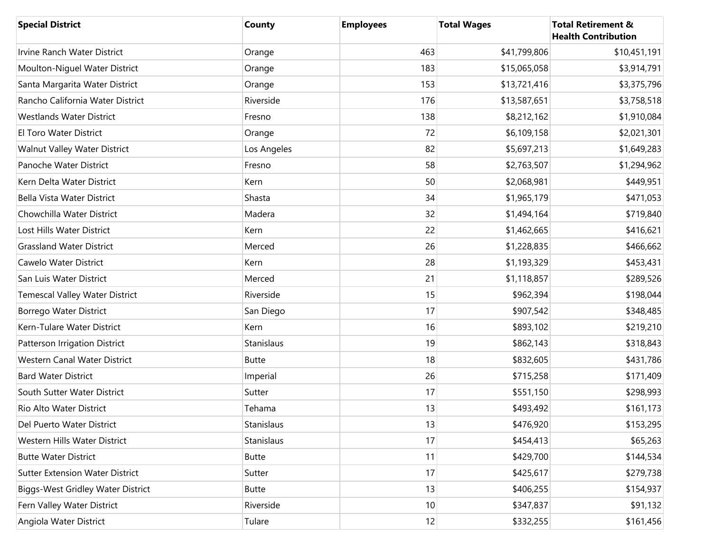| <b>Special District</b>                  | County       | <b>Employees</b> | <b>Total Wages</b> | <b>Total Retirement &amp;</b><br><b>Health Contribution</b> |
|------------------------------------------|--------------|------------------|--------------------|-------------------------------------------------------------|
| Irvine Ranch Water District              | Orange       | 463              | \$41,799,806       | \$10,451,191                                                |
| Moulton-Niguel Water District            | Orange       | 183              | \$15,065,058       | \$3,914,791                                                 |
| Santa Margarita Water District           | Orange       | 153              | \$13,721,416       | \$3,375,796                                                 |
| Rancho California Water District         | Riverside    | 176              | \$13,587,651       | \$3,758,518                                                 |
| <b>Westlands Water District</b>          | Fresno       | 138              | \$8,212,162        | \$1,910,084                                                 |
| El Toro Water District                   | Orange       | 72               | \$6,109,158        | \$2,021,301                                                 |
| Walnut Valley Water District             | Los Angeles  | 82               | \$5,697,213        | \$1,649,283                                                 |
| Panoche Water District                   | Fresno       | 58               | \$2,763,507        | \$1,294,962                                                 |
| Kern Delta Water District                | Kern         | 50               | \$2,068,981        | \$449,951                                                   |
| Bella Vista Water District               | Shasta       | 34               | \$1,965,179        | \$471,053                                                   |
| Chowchilla Water District                | Madera       | 32               | \$1,494,164        | \$719,840                                                   |
| Lost Hills Water District                | Kern         | 22               | \$1,462,665        | \$416,621                                                   |
| <b>Grassland Water District</b>          | Merced       | 26               | \$1,228,835        | \$466,662                                                   |
| Cawelo Water District                    | Kern         | 28               | \$1,193,329        | \$453,431                                                   |
| San Luis Water District                  | Merced       | 21               | \$1,118,857        | \$289,526                                                   |
| <b>Temescal Valley Water District</b>    | Riverside    | 15               | \$962,394          | \$198,044                                                   |
| Borrego Water District                   | San Diego    | 17               | \$907,542          | \$348,485                                                   |
| Kern-Tulare Water District               | Kern         | 16               | \$893,102          | \$219,210                                                   |
| Patterson Irrigation District            | Stanislaus   | 19               | \$862,143          | \$318,843                                                   |
| Western Canal Water District             | <b>Butte</b> | 18               | \$832,605          | \$431,786                                                   |
| <b>Bard Water District</b>               | Imperial     | 26               | \$715,258          | \$171,409                                                   |
| South Sutter Water District              | Sutter       | 17               | \$551,150          | \$298,993                                                   |
| Rio Alto Water District                  | Tehama       | 13               | \$493,492          | \$161,173                                                   |
| Del Puerto Water District                | Stanislaus   | 13               | \$476,920          | \$153,295                                                   |
| Western Hills Water District             | Stanislaus   | 17               | \$454,413          | \$65,263                                                    |
| <b>Butte Water District</b>              | <b>Butte</b> | 11               | \$429,700          | \$144,534                                                   |
| <b>Sutter Extension Water District</b>   | Sutter       | 17               | \$425,617          | \$279,738                                                   |
| <b>Biggs-West Gridley Water District</b> | <b>Butte</b> | 13               | \$406,255          | \$154,937                                                   |
| Fern Valley Water District               | Riverside    | 10               | \$347,837          | \$91,132                                                    |
| Angiola Water District                   | Tulare       | 12               | \$332,255          | \$161,456                                                   |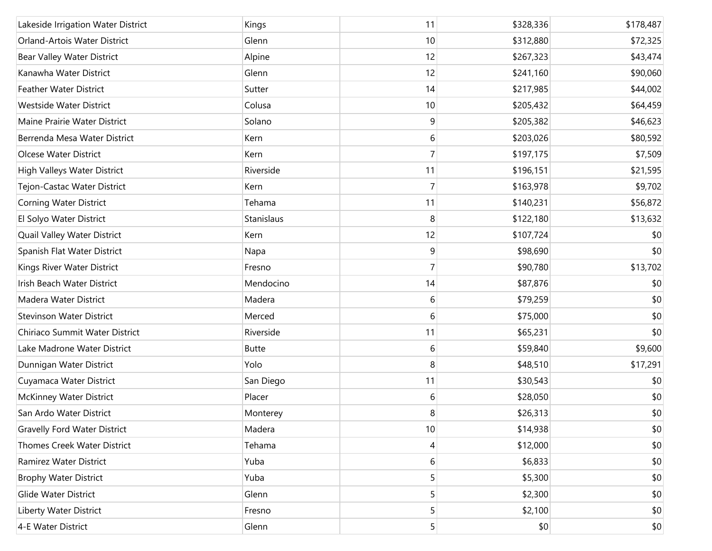| Lakeside Irrigation Water District  | Kings        | 11             | \$328,336 | \$178,487 |
|-------------------------------------|--------------|----------------|-----------|-----------|
| Orland-Artois Water District        | Glenn        | 10             | \$312,880 | \$72,325  |
| Bear Valley Water District          | Alpine       | 12             | \$267,323 | \$43,474  |
| Kanawha Water District              | Glenn        | 12             | \$241,160 | \$90,060  |
| <b>Feather Water District</b>       | Sutter       | 14             | \$217,985 | \$44,002  |
| Westside Water District             | Colusa       | 10             | \$205,432 | \$64,459  |
| Maine Prairie Water District        | Solano       | 9              | \$205,382 | \$46,623  |
| Berrenda Mesa Water District        | Kern         | 6              | \$203,026 | \$80,592  |
| Olcese Water District               | Kern         | 7              | \$197,175 | \$7,509   |
| High Valleys Water District         | Riverside    | 11             | \$196,151 | \$21,595  |
| Tejon-Castac Water District         | Kern         | 7              | \$163,978 | \$9,702   |
| Corning Water District              | Tehama       | 11             | \$140,231 | \$56,872  |
| El Solyo Water District             | Stanislaus   | 8              | \$122,180 | \$13,632  |
| Quail Valley Water District         | Kern         | 12             | \$107,724 | \$0       |
| Spanish Flat Water District         | Napa         | 9              | \$98,690  | \$0       |
| Kings River Water District          | Fresno       | 7              | \$90,780  | \$13,702  |
| Irish Beach Water District          | Mendocino    | 14             | \$87,876  | \$0       |
| Madera Water District               | Madera       | 6              | \$79,259  | \$0       |
| <b>Stevinson Water District</b>     | Merced       | 6              | \$75,000  | \$0       |
| Chiriaco Summit Water District      | Riverside    | 11             | \$65,231  | \$0       |
| Lake Madrone Water District         | <b>Butte</b> | 6              | \$59,840  | \$9,600   |
| Dunnigan Water District             | Yolo         | 8              | \$48,510  | \$17,291  |
| Cuyamaca Water District             | San Diego    | 11             | \$30,543  | \$0       |
| <b>McKinney Water District</b>      | Placer       | 6              | \$28,050  | \$0       |
| San Ardo Water District             | Monterey     | 8              | \$26,313  | \$0       |
| <b>Gravelly Ford Water District</b> | Madera       | 10             | \$14,938  | \$0       |
| Thomes Creek Water District         | Tehama       | 4              | \$12,000  | \$0       |
| Ramirez Water District              | Yuba         | 6              | \$6,833   | \$0       |
| <b>Brophy Water District</b>        | Yuba         | 5              | \$5,300   | \$0       |
| Glide Water District                | Glenn        | 5              | \$2,300   | \$0       |
| Liberty Water District              | Fresno       | 5              | \$2,100   | \$0       |
| 4-E Water District                  | Glenn        | 5 <sup>1</sup> | \$0       | \$0       |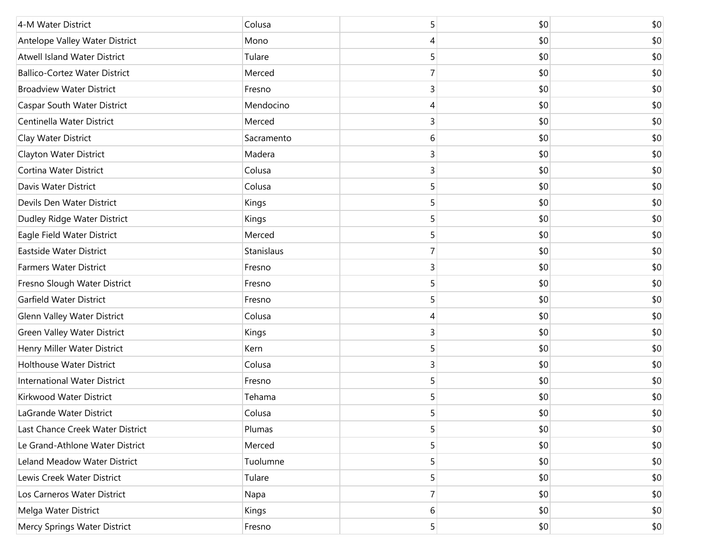| 4-M Water District                   | Colusa     | 5              | \$0 | \$0 |
|--------------------------------------|------------|----------------|-----|-----|
| Antelope Valley Water District       | Mono       | 4              | \$0 | \$0 |
| <b>Atwell Island Water District</b>  | Tulare     | 5              | \$0 | \$0 |
| <b>Ballico-Cortez Water District</b> | Merced     | 7              | \$0 | \$0 |
| <b>Broadview Water District</b>      | Fresno     | 3              | \$0 | \$0 |
| <b>Caspar South Water District</b>   | Mendocino  | 4              | \$0 | \$0 |
| Centinella Water District            | Merced     | 3              | \$0 | \$0 |
| Clay Water District                  | Sacramento | 6              | \$0 | \$0 |
| Clayton Water District               | Madera     | $\overline{3}$ | \$0 | \$0 |
| Cortina Water District               | Colusa     | 3              | \$0 | \$0 |
| Davis Water District                 | Colusa     | 5              | \$0 | \$0 |
| Devils Den Water District            | Kings      | 5              | \$0 | \$0 |
| Dudley Ridge Water District          | Kings      | 5              | \$0 | \$0 |
| Eagle Field Water District           | Merced     | 5              | \$0 | \$0 |
| Eastside Water District              | Stanislaus | 7              | \$0 | \$0 |
| <b>Farmers Water District</b>        | Fresno     | 3              | \$0 | \$0 |
| Fresno Slough Water District         | Fresno     | 5              | \$0 | \$0 |
| Garfield Water District              | Fresno     | 5              | \$0 | \$0 |
| <b>Glenn Valley Water District</b>   | Colusa     | 4              | \$0 | \$0 |
| Green Valley Water District          | Kings      | 3              | \$0 | \$0 |
| Henry Miller Water District          | Kern       | 5              | \$0 | \$0 |
| <b>Holthouse Water District</b>      | Colusa     | 3              | \$0 | \$0 |
| <b>International Water District</b>  | Fresno     | 5              | \$0 | \$0 |
| Kirkwood Water District              | Tehama     | 5              | \$0 | \$0 |
| LaGrande Water District              | Colusa     | 5              | \$0 | \$0 |
| Last Chance Creek Water District     | Plumas     | 5              | \$0 | \$0 |
| Le Grand-Athlone Water District      | Merced     | 5              | \$0 | \$0 |
| Leland Meadow Water District         | Tuolumne   | 5              | \$0 | \$0 |
| Lewis Creek Water District           | Tulare     | 5              | \$0 | \$0 |
| Los Carneros Water District          | Napa       | $\overline{7}$ | \$0 | \$0 |
| Melga Water District                 | Kings      | 6              | \$0 | \$0 |
| Mercy Springs Water District         | Fresno     | 5 <sup>1</sup> | \$0 | \$0 |